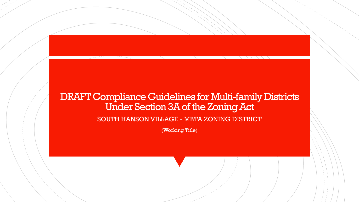#### DRAFT Compliance Guidelines for Multi-family Districts Under Section 3A of the Zoning Act

SOUTH HANSON VILLAGE - MBTA ZONING DISTRICT

(Working Title)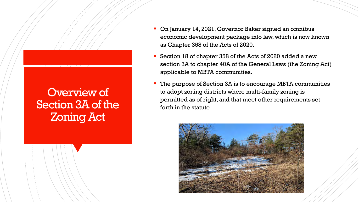# Overview of Section 3A of the Zoning Act

- On January 14, 2021, Governor Baker signed an omnibus economic development package into law, which is now known as Chapter 358 of the Acts of 2020.
- Section 18 of chapter 358 of the Acts of 2020 added a new section 3A to chapter 40A of the General Laws (the Zoning Act) applicable to MBTA communities.
- The purpose of Section 3A is to encourage MBTA communities to adopt zoning districts where multi-family zoning is permitted as of right, and that meet other requirements set forth in the statute.

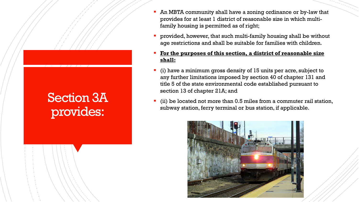# Section 3A provides:

- An MBTA community shall have a zoning ordinance or by-law that provides for at least 1 district of reasonable size in which multifamily housing is permitted as of right;
- provided, however, that such multi-family housing shall be without age restrictions and shall be suitable for families with children.
- **For the purposes of this section, a district of reasonable size shall:**
- (i) have a minimum gross density of 15 units per acre, subject to any further limitations imposed by section 40 of chapter 131 and title 5 of the state environmental code established pursuant to section 13 of chapter 21A; and
- (ii) be located not more than 0.5 miles from a commuter rail station, subway station, ferry terminal or bus station, if applicable.

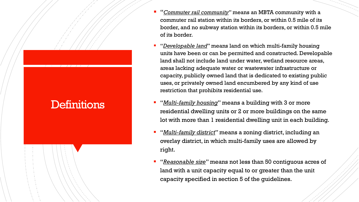# **Definitions**

- "*Commuter rail community*" means an MBTA community with a commuter rail station within its borders, or within 0.5 mile of its border, and no subway station within its borders, or within 0.5 mile of its border.
- "*Developable land*" means land on which multi-family housing units have been or can be permitted and constructed. Developable land shall not include land under water, wetland resource areas, areas lacking adequate water or wastewater infrastructure or capacity, publicly owned land that is dedicated to existing public uses, or privately owned land encumbered by any kind of use restriction that prohibits residential use.
- "*Multi-family housing*" means a building with 3 or more residential dwelling units or 2 or more buildings on the same lot with more than 1 residential dwelling unit in each building.
- "*Multi-family district*" means a zoning district, including an overlay district, in which multi-family uses are allowed by right.
- "*Reasonable size*" means not less than 50 contiguous acres of land with a unit capacity equal to or greater than the unit capacity specified in section 5 of the guidelines.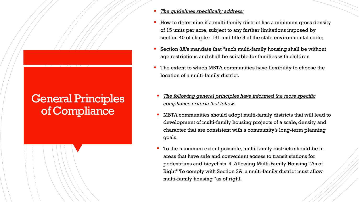### General Principles of Compliance

- *The guidelines specifically address:*
- How to determine if a multi-family district has a minimum gross density of 15 units per acre, subject to any further limitations imposed by section 40 of chapter 131 and title 5 of the state environmental code;
- Section 3A's mandate that "such multi-family housing shall be without age restrictions and shall be suitable for families with children
- The extent to which MBTA communities have flexibility to choose the location of a multi-family district.
	- *The following general principles have informed the more specific compliance criteria that follow:*
- MBTA communities should adopt multi-family districts that will lead to development of multi-family housing projects of a scale, density and character that are consistent with a community's long-term planning goals.
- To the maximum extent possible, multi-family districts should be in areas that have safe and convenient access to transit stations for pedestrians and bicyclists. 4. Allowing Multi-Family Housing "As of Right" To comply with Section 3A, a multi-family district must allow multi-family housing "as of right,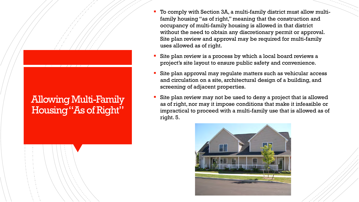### Allowing Multi-Family Housing "As of Right"

- To comply with Section 3A, a multi-family district must allow multifamily housing "as of right," meaning that the construction and occupancy of multi-family housing is allowed in that district without the need to obtain any discretionary permit or approval. Site plan review and approval may be required for multi-family uses allowed as of right.
- Site plan review is a process by which a local board reviews a project's site layout to ensure public safety and convenience.
- Site plan approval may regulate matters such as vehicular access and circulation on a site, architectural design of a building, and screening of adjacent properties.
- Site plan review may not be used to deny a project that is allowed as of right, nor may it impose conditions that make it infeasible or impractical to proceed with a multi-family use that is allowed as of right. 5.

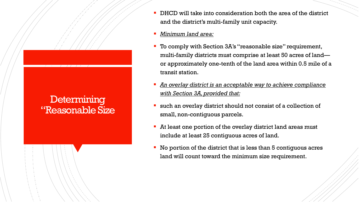#### **Determining** "Reasonable Size

- DHCD will take into consideration both the area of the district and the district's multi-family unit capacity.
- *Minimum land area:*
- To comply with Section 3A's "reasonable size" requirement, multi-family districts must comprise at least 50 acres of land or approximately one-tenth of the land area within 0.5 mile of a transit station.
- *An overlay district is an acceptable way to achieve compliance with Section 3A, provided that:*
- such an overlay district should not consist of a collection of small, non-contiguous parcels.
- At least one portion of the overlay district land areas must include at least 25 contiguous acres of land.
- No portion of the district that is less than 5 contiguous acres land will count toward the minimum size requirement.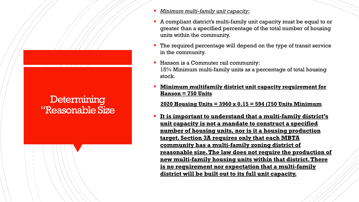#### **Determining** "Reasonable Size

- *Minimum multi-family unit capacity:*
- A compliant district's multi-family unit capacity must be equal to or greater than a specified percentage of the total number of housing units within the community.
- The required percentage will depend on the type of transit service in the community.
- Hanson is a Commuter rail community: 15% Minimum multi-family units as a percentage of total housing stock.
- **Minimum multifamily district unit capacity requirement for Hanson = 750 Units**

**2020 Housing Units = 3960 x 0.15 = 594 (750 Units Minimum**

 **It is important to understand that a multi-family district's unit capacity is not a mandate to construct a specified number of housing units, nor is it a housing production target. Section 3A requires only that each MBTA community has a multi-family zoning district of reasonable size. The law does not require the production of new multi-family housing units within that district. There is no requirement nor expectation that a multi-family district will be built out to its full unit capacity.**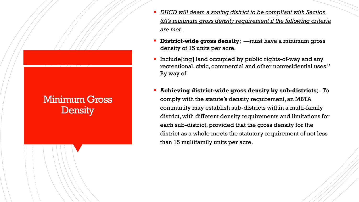### Minimum Gross **Density**

- *DHCD will deem a zoning district to be compliant with Section 3A's minimum gross density requirement if the following criteria are met.*
- **District-wide gross density**; —must have a minimum gross density of 15 units per acre.
- Include[ing] land occupied by public rights-of-way and any recreational, civic, commercial and other nonresidential uses." By way of
- **Achieving district-wide gross density by sub-districts**; To comply with the statute's density requirement, an MBTA community may establish sub-districts within a multi-family district, with different density requirements and limitations for each sub-district, provided that the gross density for the district as a whole meets the statutory requirement of not less than 15 multifamily units per acre.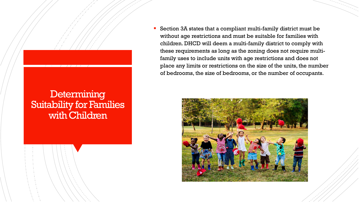#### **Determining** Suitability for Families with Children

 Section 3A states that a compliant multi-family district must be without age restrictions and must be suitable for families with children. DHCD will deem a multi-family district to comply with these requirements as long as the zoning does not require multifamily uses to include units with age restrictions and does not place any limits or restrictions on the size of the units, the number of bedrooms, the size of bedrooms, or the number of occupants.

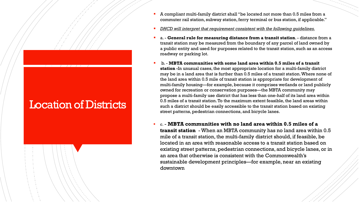# Location of Districts

- A compliant multi-family district shall "be located not more than 0.5 miles from a commuter rail station, subway station, ferry terminal or bus station, if applicable."
- *DHCD will interpret that requirement consistent with the following guidelines.*
- a. **General rule for measuring distance from a transit station**. distance from a transit station may be measured from the boundary of any parcel of land owned by a public entity and used for purposes related to the transit station, such as an access roadway or parking lot.
- b. **MBTA communities with some land area within 0.5 miles of a transit station -**In unusual cases, the most appropriate location for a multi-family district may be in a land area that is further than 0.5 miles of a transit station. Where none of the land area within 0.5 mile of transit station is appropriate for development of multi-family housing—for example, because it comprises wetlands or land publicly owned for recreation or conservation purposes—the MBTA community may propose a multi-family use district that has less than one-half of its land area within 0.5 miles of a transit station. To the maximum extent feasible, the land areas within such a district should be easily accessible to the transit station based on existing street patterns, pedestrian connections, and bicycle lanes.
- c. **MBTA communities with no land area within 0.5 miles of a transit station** - When an MBTA community has no land area within 0.5 mile of a transit station, the multi-family district should, if feasible, be located in an area with reasonable access to a transit station based on existing street patterns, pedestrian connections, and bicycle lanes, or in an area that otherwise is consistent with the Commonwealth's sustainable development principles—for example, near an existing downtown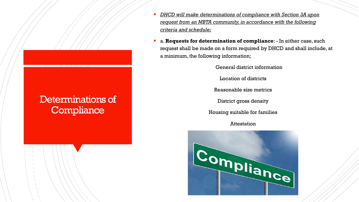### Determinations of **Compliance**

- *DHCD will make determinations of compliance with Section 3A upon request from an MBTA community, in accordance with the following criteria and schedule;*
- a. **Requests for determination of compliance**: In either case, such request shall be made on a form required by DHCD and shall include, at a minimum, the following information;

General district information

Location of districts

Reasonable size metrics

District gross density

Housing suitable for families

Attestation

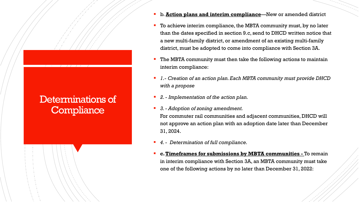### Determinations of **Compliance**

- b. **Action plans and interim compliance**—New or amended district
- To achieve interim compliance, the MBTA community must, by no later than the dates specified in section 9.c, send to DHCD written notice that a new multi-family district, or amendment of an existing multi-family district, must be adopted to come into compliance with Section 3A.
- The MBTA community must then take the following actions to maintain interim compliance:
- *1.- Creation of an action plan. Each MBTA community must provide DHCD with a propose*
- *2. - Implementation of the action plan.*
- *3. - Adoption of zoning amendment.*

For commuter rail communities and adjacent communities, DHCD will not approve an action plan with an adoption date later than December 31, 2024.

- *4. - Determination of full compliance.*
- **c. Timeframes for submissions by MBTA communities -** To remain in interim compliance with Section 3A, an MBTA community must take one of the following actions by no later than December 31, 2022: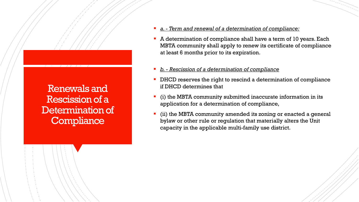Renewals and Rescission of a Determination of **Compliance** 

- *a. Term and renewal of a determination of compliance:*
- A determination of compliance shall have a term of 10 years. Each MBTA community shall apply to renew its certificate of compliance at least 6 months prior to its expiration.
- *b. - Rescission of a determination of compliance*
- DHCD reserves the right to rescind a determination of compliance if DHCD determines that
- (i) the MBTA community submitted inaccurate information in its application for a determination of compliance,
- (ii) the MBTA community amended its zoning or enacted a general bylaw or other rule or regulation that materially alters the Unit capacity in the applicable multi-family use district.